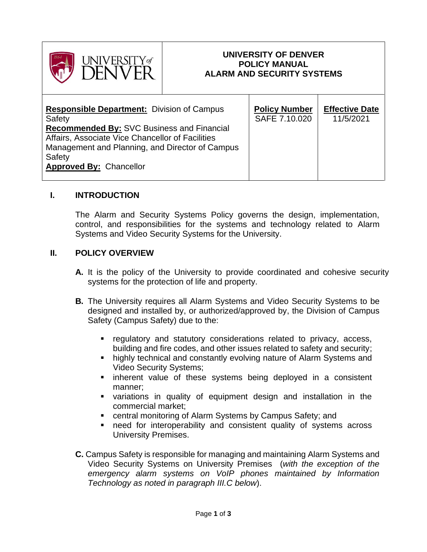

### **UNIVERSITY OF DENVER POLICY MANUAL ALARM AND SECURITY SYSTEMS**

| <b>Responsible Department:</b> Division of Campus<br>Safety<br><b>Recommended By: SVC Business and Financial</b><br>Affairs, Associate Vice Chancellor of Facilities<br>Management and Planning, and Director of Campus<br>Safety<br><b>Approved By: Chancellor</b> | <b>Policy Number</b><br>SAFE 7.10.020 | <b>Effective Date</b><br>11/5/2021 |
|---------------------------------------------------------------------------------------------------------------------------------------------------------------------------------------------------------------------------------------------------------------------|---------------------------------------|------------------------------------|
|---------------------------------------------------------------------------------------------------------------------------------------------------------------------------------------------------------------------------------------------------------------------|---------------------------------------|------------------------------------|

### **I. INTRODUCTION**

The Alarm and Security Systems Policy governs the design, implementation, control, and responsibilities for the systems and technology related to Alarm Systems and Video Security Systems for the University.

#### **II. POLICY OVERVIEW**

- **A.** It is the policy of the University to provide coordinated and cohesive security systems for the protection of life and property.
- **B.** The University requires all Alarm Systems and Video Security Systems to be designed and installed by, or authorized/approved by, the Division of Campus Safety (Campus Safety) due to the:
	- regulatory and statutory considerations related to privacy, access, building and fire codes, and other issues related to safety and security;
	- highly technical and constantly evolving nature of Alarm Systems and Video Security Systems;
	- inherent value of these systems being deployed in a consistent manner;
	- variations in quality of equipment design and installation in the commercial market;
	- central monitoring of Alarm Systems by Campus Safety; and
	- need for interoperability and consistent quality of systems across University Premises.
- **C.** Campus Safety is responsible for managing and maintaining Alarm Systems and Video Security Systems on University Premises (*with the exception of the emergency alarm systems on VoIP phones maintained by Information Technology as noted in paragraph III.C below*).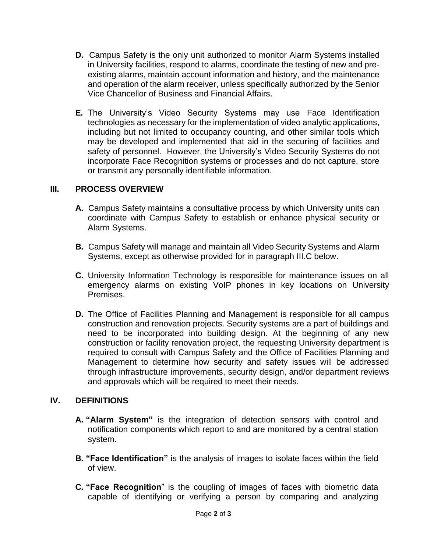- **D.** Campus Safety is the only unit authorized to monitor Alarm Systems installed in University facilities, respond to alarms, coordinate the testing of new and preexisting alarms, maintain account information and history, and the maintenance and operation of the alarm receiver, unless specifically authorized by the Senior Vice Chancellor of Business and Financial Affairs.
- **E.** The University's Video Security Systems may use Face Identification technologies as necessary for the implementation of video analytic applications, including but not limited to occupancy counting, and other similar tools which may be developed and implemented that aid in the securing of facilities and safety of personnel. However, the University's Video Security Systems do not incorporate Face Recognition systems or processes and do not capture, store or transmit any personally identifiable information.

### **III. PROCESS OVERVIEW**

- **A.** Campus Safety maintains a consultative process by which University units can coordinate with Campus Safety to establish or enhance physical security or Alarm Systems.
- **B.** Campus Safety will manage and maintain all Video Security Systems and Alarm Systems, except as otherwise provided for in paragraph III.C below.
- **C.** University Information Technology is responsible for maintenance issues on all emergency alarms on existing VoIP phones in key locations on University Premises.
- **D.** The Office of Facilities Planning and Management is responsible for all campus construction and renovation projects. Security systems are a part of buildings and need to be incorporated into building design. At the beginning of any new construction or facility renovation project, the requesting University department is required to consult with Campus Safety and the Office of Facilities Planning and Management to determine how security and safety issues will be addressed through infrastructure improvements, security design, and/or department reviews and approvals which will be required to meet their needs.

# **IV. DEFINITIONS**

- **A. "Alarm System"** is the integration of detection sensors with control and notification components which report to and are monitored by a central station system.
- **B. "Face Identification"** is the analysis of images to isolate faces within the field of view.
- **C. "Face Recognition**" is the coupling of images of faces with biometric data capable of identifying or verifying a person by comparing and analyzing